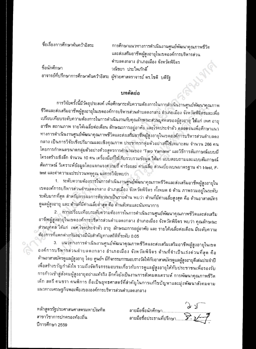ชื่อเรื่องการศึกษาค้นคว้าอิสระ

การศึกษาแนวทางการดำเนินงานศูนย์พัฒนาคุณภาพชีวิต และส่งเสริมอาชีพผู้สูงอายุในเขตองค์การบริหารส่วน ตำบลดงกลาง อำเภอเมือง จังหวัดพิจิตร วณิชยา ประไพภักดิ์

ชื่อนักศึกษา อาจารย์ที่ปรึกษาการศึกษาค้นคว้าอิสระ ผู้ช่วยศาสดราจารย์ ดร.โชติ บดีรัฐ

## บทคัดย่อ

การวิจัยครั้งนี้มีวัตถุประสงค์ เพื่อศึกษาระดับความต้องการในการดำเนินงานศูนย์พัฒนาคุณภาพ ชีวิตและส่งเสริมอาชีพผู้สูงอายุในเขตองค์การบริหารส่วนตำบลดงกลาง อำเภอเมือง จังหวัดพิจิดรและเพื่อ เปรียบเทียบระดับความต้องการในการตำเนินงานกับคุณลักษณะส่วนบุคคลของผู้สูงอายุ ได้แก่ เพศ อายุ อาชีพ สถานภาพ รายได้เฉลี่ยต่อเดือน ลักษณะการอยู่อาศัย และโรคประจำดัว ดลอดจนเพื่อศึกษาแนว ทางการดำเนินงานศูนย์พัฒนาคุณภาพชีวิตและส่งเสริมอาชีพผู้สูงอายุในเขตองค์การบริหารส่วนดำบลดง กลาง เป็นการวิจัยเชิงปริมาณและเชิงคุณภาพ ประชากรกลุ่มตัวอย่างที่ใช้เหมาะสม จำนวน 266 คน โตยการกำหนดขนาดกลุ่มด้วอย่างด้วยสูตรการคำนวณของ "Taro Yamane" และวิธีการสัมภาษณ์แบบมี โครงสร้างเชิงลึก จำนวน 10 คน เครื่องมือที่ใช้เก็บรวบรวมข้อมูล ได้แก่ แบบสอบถามและแบบสัมภาษณ์ สัมภาษณ์ วิเคราะห์ข้อมูลโดยแจกแจงความถี่ ค่าร้อยละ ค่าเฉลี่ย ส่วนเบี่ยงเบนมาดรฐาน ค่า t-test, Ftest และค่าความแปรปรวนพหุคูณ ผลการวิจัยพบว่า

1. ระดับความต้องการในการดำเนินงานศูนย์พัฒนาคุณภาพชีวิตและส่งเสริมอาชีพผู้สูงอายุใน เขตองค์การบริหารส่วนตำบลดงกลาง อำเภอเมือง จังหวัดพิจิตร ทั้งหมด 6 ด้าน ภาพรวมอยู่ในระดับ ระดับมากที่สุด สำหรับการผลการพิจาณาเป็นรายด้าน พบว่า ด้านที่มีค่าเฉลี่ยสูงสุด คือ ด้านอาสาสมัคร ดูแลผู้สูงอายุ และ ด้านที่มีค่าเฉลี่ยต่ำสุด คือ ด้านสังคมและนันทนาการ

2. การเปรียบเทียบระดับความต้องการในการดำเนินงานศูนย์พัฒนาคุณภาพชีวิตและส่งเสริม อาชีพผู้สูงอายุในเขดองค์การบริหารส่วนตำบลตงกลาง อำเภอเมือง จังหวัดพิจิตร พบว่า คุณลักษณะ ส่วนบุคคล ได้แก่ เพศ โรคประจำตัว อายุ ลักษณะการอยู่อาศัย และ รายได้เฉลี่ยต่อเดือน มีระดับความ ต้องการที่แตกต่างกันอย่างมีนัยสำคัญทางสถิติที่ระดับ 0.05

3. แนวทางการดำเนินงานศูนย์พัฒนาคุณภาพชีวิตและส่งเสริมเสริมอาชีพผู้สูงอายุในเขต ้องค์การบริหารส่วนดำบลดงกลาง อำเภอเมือง จังหวัดพิจิตร ด้านที่จำเป็นเร่งด่วนที่สุด คือ ด้านอาสาสมัครดูแลผู้สูงอายุ โดย ศูนย์ฯ มีกิจกรรมการมอบรางวัลให้กับอาสาสมัครดูแลผู้สูงอายุดีเด่นประจำปี เพื่อสร้างขวัญกำลังใจ รวมถึงจัดกิจกรรมอบรมเกี่ยวกับการดูแลผู้สูงอายุให้กับประชาชนเพื่อรองรับ การก้าวเข้าสู่สังคมผู้สูงอายุอย่างแท้จริง อีกทั้งยังเป็นงานการสังคมสงเคราะห์ การพัฒนาคุณภาพชีวิต เด็ก สตรี คนชรา คนพิการ ถือเป็นยุทธศาสตร์ที่สำคัญในการแก้ไขปัญหาและมุ่งพัฒนาสังคมตาม แนวทางเศรษฐกิจพอเพียงขององค์การบริหารส่วนตำบลดงกลาง

หลักสูตรรัฐประศาสนศาสตรมหาบัณฑิต สาขาวิชาการปกครองท้องถิ่น ปีการศึกษา 2559

 $9 - 5$ ลายมือชื่อนักศึกษา..........